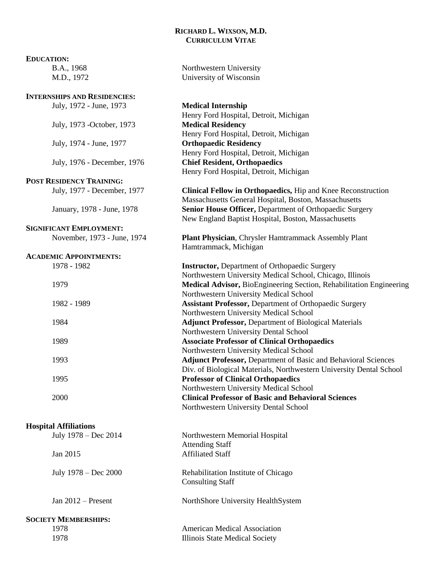# **RICHARD L. WIXSON, M.D. CURRICULUM VITAE**

| <b>EDUCATION:</b>                   |                                                                       |
|-------------------------------------|-----------------------------------------------------------------------|
| B.A., 1968                          | Northwestern University                                               |
| M.D., 1972                          | University of Wisconsin                                               |
|                                     |                                                                       |
| <b>INTERNSHIPS AND RESIDENCIES:</b> |                                                                       |
| July, 1972 - June, 1973             | <b>Medical Internship</b>                                             |
|                                     | Henry Ford Hospital, Detroit, Michigan                                |
| July, 1973 - October, 1973          | <b>Medical Residency</b>                                              |
|                                     | Henry Ford Hospital, Detroit, Michigan                                |
| July, 1974 - June, 1977             | <b>Orthopaedic Residency</b>                                          |
|                                     | Henry Ford Hospital, Detroit, Michigan                                |
| July, 1976 - December, 1976         | <b>Chief Resident, Orthopaedics</b>                                   |
|                                     | Henry Ford Hospital, Detroit, Michigan                                |
| <b>POST RESIDENCY TRAINING:</b>     |                                                                       |
| July, 1977 - December, 1977         | Clinical Fellow in Orthopaedics, Hip and Knee Reconstruction          |
|                                     | Massachusetts General Hospital, Boston, Massachusetts                 |
| January, 1978 - June, 1978          | Senior House Officer, Department of Orthopaedic Surgery               |
|                                     | New England Baptist Hospital, Boston, Massachusetts                   |
| <b>SIGNIFICANT EMPLOYMENT:</b>      |                                                                       |
|                                     |                                                                       |
| November, 1973 - June, 1974         | Plant Physician, Chrysler Hamtrammack Assembly Plant                  |
|                                     | Hamtrammack, Michigan                                                 |
| <b>ACADEMIC APPOINTMENTS:</b>       |                                                                       |
| 1978 - 1982                         | <b>Instructor, Department of Orthopaedic Surgery</b>                  |
|                                     | Northwestern University Medical School, Chicago, Illinois             |
| 1979                                | Medical Advisor, BioEngineering Section, Rehabilitation Engineering   |
|                                     | Northwestern University Medical School                                |
| 1982 - 1989                         | Assistant Professor, Department of Orthopaedic Surgery                |
|                                     | Northwestern University Medical School                                |
| 1984                                | <b>Adjunct Professor, Department of Biological Materials</b>          |
|                                     | Northwestern University Dental School                                 |
| 1989                                | <b>Associate Professor of Clinical Orthopaedics</b>                   |
|                                     | Northwestern University Medical School                                |
| 1993                                | <b>Adjunct Professor, Department of Basic and Behavioral Sciences</b> |
|                                     | Div. of Biological Materials, Northwestern University Dental School   |
| 1995                                | <b>Professor of Clinical Orthopaedics</b>                             |
|                                     | Northwestern University Medical School                                |
| 2000                                | <b>Clinical Professor of Basic and Behavioral Sciences</b>            |
|                                     | Northwestern University Dental School                                 |
|                                     |                                                                       |
| <b>Hospital Affiliations</b>        |                                                                       |
| July 1978 - Dec 2014                | Northwestern Memorial Hospital                                        |
|                                     | <b>Attending Staff</b>                                                |
| Jan 2015                            | <b>Affiliated Staff</b>                                               |
|                                     |                                                                       |
| July 1978 – Dec 2000                | Rehabilitation Institute of Chicago                                   |
|                                     | <b>Consulting Staff</b>                                               |
|                                     |                                                                       |
| Jan 2012 - Present                  | NorthShore University HealthSystem                                    |
|                                     |                                                                       |
| <b>SOCIETY MEMBERSHIPS:</b>         |                                                                       |
| 1978                                | <b>American Medical Association</b>                                   |
| 1978                                | Illinois State Medical Society                                        |
|                                     |                                                                       |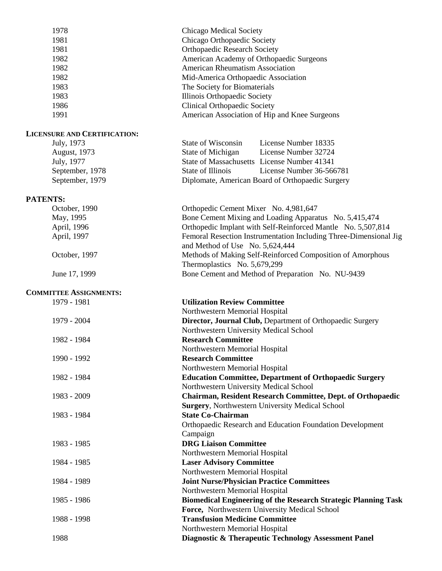| 1978                                | Chicago Medical Society                                                                                                |
|-------------------------------------|------------------------------------------------------------------------------------------------------------------------|
| 1981                                | Chicago Orthopaedic Society                                                                                            |
| 1981                                | <b>Orthopaedic Research Society</b>                                                                                    |
| 1982                                | American Academy of Orthopaedic Surgeons                                                                               |
| 1982                                | <b>American Rheumatism Association</b>                                                                                 |
| 1982                                | Mid-America Orthopaedic Association                                                                                    |
| 1983                                | The Society for Biomaterials                                                                                           |
| 1983                                | Illinois Orthopaedic Society                                                                                           |
| 1986                                | <b>Clinical Orthopaedic Society</b>                                                                                    |
| 1991                                | American Association of Hip and Knee Surgeons                                                                          |
| <b>LICENSURE AND CERTIFICATION:</b> |                                                                                                                        |
| July, 1973                          | State of Wisconsin<br>License Number 18335                                                                             |
| <b>August</b> , 1973                | State of Michigan<br>License Number 32724                                                                              |
| July, 1977                          | State of Massachusetts License Number 41341                                                                            |
| September, 1978                     | <b>State of Illinois</b><br>License Number 36-566781                                                                   |
| September, 1979                     | Diplomate, American Board of Orthopaedic Surgery                                                                       |
|                                     |                                                                                                                        |
| <b>PATENTS:</b>                     |                                                                                                                        |
| October, 1990                       | Orthopedic Cement Mixer No. 4,981,647                                                                                  |
| May, 1995                           | Bone Cement Mixing and Loading Apparatus No. 5,415,474<br>Orthopedic Implant with Self-Reinforced Mantle No. 5,507,814 |
| April, 1996                         |                                                                                                                        |
| April, 1997                         | Femoral Resection Instrumentation Including Three-Dimensional Jig                                                      |
| October, 1997                       | and Method of Use No. 5,624,444<br>Methods of Making Self-Reinforced Composition of Amorphous                          |
|                                     | Thermoplastics No. 5,679,299                                                                                           |
| June 17, 1999                       | Bone Cement and Method of Preparation No. NU-9439                                                                      |
|                                     |                                                                                                                        |
| <b>COMMITTEE ASSIGNMENTS:</b>       |                                                                                                                        |
| 1979 - 1981                         | <b>Utilization Review Committee</b>                                                                                    |
|                                     | Northwestern Memorial Hospital                                                                                         |
| 1979 - 2004                         | Director, Journal Club, Department of Orthopaedic Surgery                                                              |
|                                     | Northwestern University Medical School                                                                                 |
| 1982 - 1984                         | <b>Research Committee</b>                                                                                              |
|                                     | Northwestern Memorial Hospital                                                                                         |
| 1990 - 1992                         | <b>Research Committee</b>                                                                                              |
|                                     | Northwestern Memorial Hospital                                                                                         |
| 1982 - 1984                         | <b>Education Committee, Department of Orthopaedic Surgery</b>                                                          |
|                                     | Northwestern University Medical School                                                                                 |
| 1983 - 2009                         | Chairman, Resident Research Committee, Dept. of Orthopaedic                                                            |
|                                     | <b>Surgery, Northwestern University Medical School</b>                                                                 |
| 1983 - 1984                         | <b>State Co-Chairman</b>                                                                                               |
|                                     | Orthopaedic Research and Education Foundation Development                                                              |
|                                     | Campaign                                                                                                               |
| 1983 - 1985                         | <b>DRG Liaison Committee</b>                                                                                           |
|                                     | Northwestern Memorial Hospital                                                                                         |
| 1984 - 1985                         | <b>Laser Advisory Committee</b>                                                                                        |
|                                     | Northwestern Memorial Hospital                                                                                         |
| 1984 - 1989                         | <b>Joint Nurse/Physician Practice Committees</b>                                                                       |
|                                     | Northwestern Memorial Hospital                                                                                         |
| 1985 - 1986                         | <b>Biomedical Engineering of the Research Strategic Planning Task</b>                                                  |
|                                     | Force, Northwestern University Medical School                                                                          |
| 1988 - 1998                         | <b>Transfusion Medicine Committee</b>                                                                                  |
| 1988                                | Northwestern Memorial Hospital                                                                                         |
|                                     | Diagnostic & Therapeutic Technology Assessment Panel                                                                   |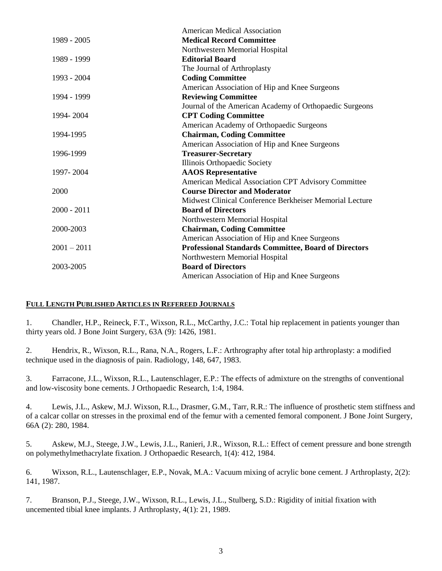|               | American Medical Association                                |
|---------------|-------------------------------------------------------------|
| 1989 - 2005   | <b>Medical Record Committee</b>                             |
|               | Northwestern Memorial Hospital                              |
| 1989 - 1999   | <b>Editorial Board</b>                                      |
|               | The Journal of Arthroplasty                                 |
| 1993 - 2004   | <b>Coding Committee</b>                                     |
|               | American Association of Hip and Knee Surgeons               |
| 1994 - 1999   | <b>Reviewing Committee</b>                                  |
|               | Journal of the American Academy of Orthopaedic Surgeons     |
| 1994-2004     | <b>CPT Coding Committee</b>                                 |
|               | American Academy of Orthopaedic Surgeons                    |
| 1994-1995     | <b>Chairman, Coding Committee</b>                           |
|               | American Association of Hip and Knee Surgeons               |
| 1996-1999     | <b>Treasurer-Secretary</b>                                  |
|               | Illinois Orthopaedic Society                                |
| 1997-2004     | <b>AAOS</b> Representative                                  |
|               | American Medical Association CPT Advisory Committee         |
| 2000          | <b>Course Director and Moderator</b>                        |
|               | Midwest Clinical Conference Berkheiser Memorial Lecture     |
| $2000 - 2011$ | <b>Board of Directors</b>                                   |
|               | Northwestern Memorial Hospital                              |
| 2000-2003     | <b>Chairman, Coding Committee</b>                           |
|               | American Association of Hip and Knee Surgeons               |
| $2001 - 2011$ | <b>Professional Standards Committee, Board of Directors</b> |
|               | Northwestern Memorial Hospital                              |
| 2003-2005     | <b>Board of Directors</b>                                   |
|               | American Association of Hip and Knee Surgeons               |

#### **FULL LENGTH PUBLISHED ARTICLES IN REFEREED JOURNALS**

1. Chandler, H.P., Reineck, F.T., Wixson, R.L., McCarthy, J.C.: Total hip replacement in patients younger than thirty years old. J Bone Joint Surgery, 63A (9): 1426, 1981.

2. Hendrix, R., Wixson, R.L., Rana, N.A., Rogers, L.F.: Arthrography after total hip arthroplasty: a modified technique used in the diagnosis of pain. Radiology, 148, 647, 1983.

3. Farracone, J.L., Wixson, R.L., Lautenschlager, E.P.: The effects of admixture on the strengths of conventional and low-viscosity bone cements. J Orthopaedic Research, 1:4, 1984.

4. Lewis, J.L., Askew, M.J. Wixson, R.L., Drasmer, G.M., Tarr, R.R.: The influence of prosthetic stem stiffness and of a calcar collar on stresses in the proximal end of the femur with a cemented femoral component. J Bone Joint Surgery, 66A (2): 280, 1984.

5. Askew, M.J., Steege, J.W., Lewis, J.L., Ranieri, J.R., Wixson, R.L.: Effect of cement pressure and bone strength on polymethylmethacrylate fixation. J Orthopaedic Research, 1(4): 412, 1984.

6. Wixson, R.L., Lautenschlager, E.P., Novak, M.A.: Vacuum mixing of acrylic bone cement. J Arthroplasty, 2(2): 141, 1987.

7. Branson, P.J., Steege, J.W., Wixson, R.L., Lewis, J.L., Stulberg, S.D.: Rigidity of initial fixation with uncemented tibial knee implants. J Arthroplasty, 4(1): 21, 1989.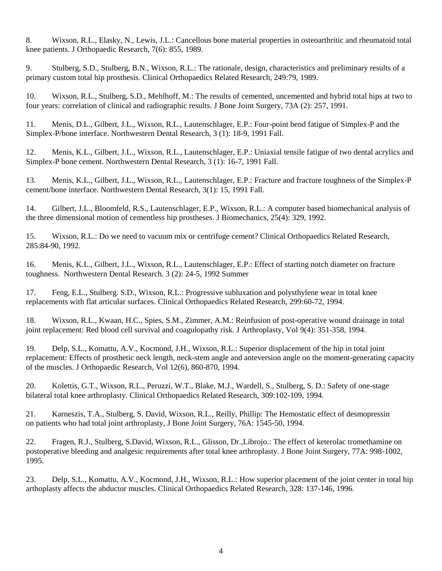8. Wixson, R.L., Elasky, N., Lewis, J.L.: Cancellous bone material properties in osteoarthritic and rheumatoid total knee patients. J Orthopaedic Research, 7(6): 855, 1989.

9. Stulberg, S.D., Stulberg, B.N., Wixson, R.L.: The rationale, design, characteristics and preliminary results of a primary custom total hip prosthesis. Clinical Orthopaedics Related Research, 249:79, 1989.

10. Wixson, R.L., Stulberg, S.D., Mehlhoff, M.: The results of cemented, uncemented and hybrid total hips at two to four years: correlation of clinical and radiographic results. J Bone Joint Surgery, 73A (2): 257, 1991.

11. Menis, D.L., Gilbert, J.L., Wixson, R.L., Lautenschlager, E.P.: Four-point bend fatigue of Simplex-P and the Simplex-P/bone interface. Northwestern Dental Research, 3 (1): 18-9, 1991 Fall.

12. Menis, K.L., Gilbert, J.L., Wixson, R.L., Lautenschlager, E.P.: Uniaxial tensile fatigue of two dental acrylics and Simplex-P bone cement. Northwestern Dental Research, 3 (1): 16-7, 1991 Fall.

13. Menis, K.L., Gilbert, J.L., Wixson, R.L., Lautenschlager, E.P.: Fracture and fracture toughness of the Simplex-P cement/bone interface. Northwestern Dental Research, 3(1): 15, 1991 Fall.

14. Gilbert, J.L., Bloomfeld, R.S., Lautenschlager, E.P., Wixson, R.L.: A computer based biomechanical analysis of the three dimensional motion of cementless hip prostheses. J Biomechanics, 25(4): 329, 1992.

15. Wixson, R.L.: Do we need to vacuum mix or centrifuge cement? Clinical Orthopaedics Related Research, 285:84-90, 1992.

16. Menis, K.L., Gilbert, J.L., Wixson, R.L., Lautenschlager, E.P.: Effect of starting notch diameter on fracture toughness. Northwestern Dental Research. 3 (2): 24-5, 1992 Summer

17. Feng, E.L., Stulberg. S.D., Wixson, R.L.: Progressive subluxation and polysthylene wear in total knee replacements with flat articular surfaces. Clinical Orthopaedics Related Research, 299:60-72, 1994.

18. Wixson, R.L., Kwaan, H.C., Spies, S.M., Zimmer, A.M.: Reinfusion of post-operative wound drainage in total joint replacement: Red blood cell survival and coagulopathy risk. J Arthroplasty, Vol 9(4): 351-358, 1994.

19. Delp, S.L., Komattu, A.V., Kocmond, J.H., Wixson, R.L.: Superior displacement of the hip in total joint replacement: Effects of prosthetic neck length, neck-stem angle and anteversion angle on the moment-generating capacity of the muscles. J Orthopaedic Research, Vol 12(6), 860-870, 1994.

20. Kolettis, G.T., Wixson, R.L., Peruzzi, W.T., Blake, M.J., Wardell, S., Stulberg, S. D.: Safety of one-stage bilateral total knee arthroplasty. Clinical Orthopaedics Related Research, 309:102-109, 1994.

21. Karneszis, T.A., Stulberg, S. David, Wixson, R.L., Reilly, Phillip: The Hemostatic effect of desmopressin on patients who had total joint arthroplasty, J Bone Joint Surgery, 76A: 1545-50, 1994.

22. Fragen, R.J., Stulberg, S.David, Wixson, R.L., Glisson, Dr.,Librojo.: The effect of keterolac tromethamine on postoperative bleeding and analgesic requirements after total knee arthroplasty. J Bone Joint Surgery, 77A: 998-1002, 1995.

23. Delp, S.L., Komattu, A.V., Kocmond, J.H., Wixson, R.L.: How superior placement of the joint center in total hip arthoplasty affects the abductor muscles. Clinical Orthopaedics Related Research, 328: 137-146, 1996.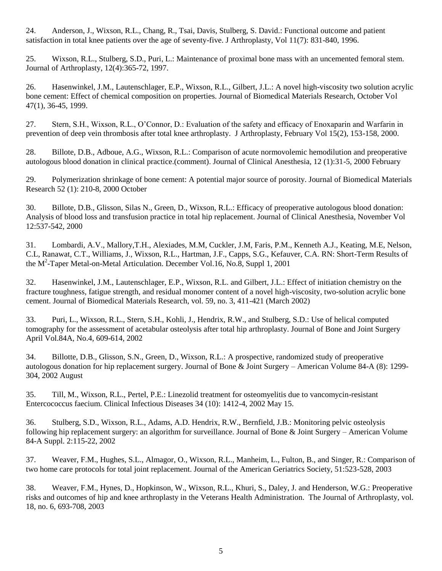24. Anderson, J., Wixson, R.L., Chang, R., Tsai, Davis, Stulberg, S. David.: Functional outcome and patient satisfaction in total knee patients over the age of seventy-five. J Arthroplasty, Vol 11(7): 831-840, 1996.

25. Wixson, R.L., Stulberg, S.D., Puri, L.: Maintenance of proximal bone mass with an uncemented femoral stem. Journal of Arthroplasty, 12(4):365-72, 1997.

26. Hasenwinkel, J.M., Lautenschlager, E.P., Wixson, R.L., Gilbert, J.L.: A novel high-viscosity two solution acrylic bone cement: Effect of chemical composition on properties. Journal of Biomedical Materials Research, October Vol 47(1), 36-45, 1999.

27. Stern, S.H., Wixson, R.L., O'Connor, D.: Evaluation of the safety and efficacy of Enoxaparin and Warfarin in prevention of deep vein thrombosis after total knee arthroplasty. J Arthroplasty, February Vol 15(2), 153-158, 2000.

28. Billote, D.B., Adboue, A.G., Wixson, R.L.: Comparison of acute normovolemic hemodilution and preoperative autologous blood donation in clinical practice.(comment). Journal of Clinical Anesthesia, 12 (1):31-5, 2000 February

29. Polymerization shrinkage of bone cement: A potential major source of porosity. Journal of Biomedical Materials Research 52 (1): 210-8, 2000 October

30. Billote, D.B., Glisson, Silas N., Green, D., Wixson, R.L.: Efficacy of preoperative autologous blood donation: Analysis of blood loss and transfusion practice in total hip replacement. Journal of Clinical Anesthesia, November Vol 12:537-542, 2000

31. Lombardi, A.V., Mallory,T.H., Alexiades, M.M, Cuckler, J.M, Faris, P.M., Kenneth A.J., Keating, M.E, Nelson, C.L, Ranawat, C.T., Williams, J., Wixson, R.L., Hartman, J.F., Capps, S.G., Kefauver, C.A. RN: Short-Term Results of the  $M^2$ -Taper Metal-on-Metal Articulation. December Vol.16, No.8, Suppl 1, 2001

32. Hasenwinkel, J.M., Lautenschlager, E.P., Wixson, R.L. and Gilbert, J.L.: Effect of initiation chemistry on the fracture toughness, fatigue strength, and residual monomer content of a novel high-viscosity, two-solution acrylic bone cement. Journal of Biomedical Materials Research, vol. 59, no. 3, 411-421 (March 2002)

33. Puri, L., Wixson, R.L., Stern, S.H., Kohli, J., Hendrix, R.W., and Stulberg, S.D.: Use of helical computed tomography for the assessment of acetabular osteolysis after total hip arthroplasty. Journal of Bone and Joint Surgery April Vol.84A, No.4, 609-614, 2002

34. Billotte, D.B., Glisson, S.N., Green, D., Wixson, R.L.: A prospective, randomized study of preoperative autologous donation for hip replacement surgery. Journal of Bone & Joint Surgery – American Volume 84-A (8): 1299- 304, 2002 August

35. Till, M., Wixson, R.L., Pertel, P.E.: Linezolid treatment for osteomyelitis due to vancomycin-resistant Entercococcus faecium. Clinical Infectious Diseases 34 (10): 1412-4, 2002 May 15.

36. Stulberg, S.D., Wixson, R.L., Adams, A.D. Hendrix, R.W., Bernfield, J.B.: Monitoring pelvic osteolysis following hip replacement surgery: an algorithm for surveillance. Journal of Bone & Joint Surgery – American Volume 84-A Suppl. 2:115-22, 2002

37. Weaver, F.M., Hughes, S.L., Almagor, O., Wixson, R.L., Manheim, L., Fulton, B., and Singer, R.: Comparison of two home care protocols for total joint replacement. Journal of the American Geriatrics Society, 51:523-528, 2003

38. Weaver, F.M., Hynes, D., Hopkinson, W., Wixson, R.L., Khuri, S., Daley, J. and Henderson, W.G.: Preoperative risks and outcomes of hip and knee arthroplasty in the Veterans Health Administration. The Journal of Arthroplasty, vol. 18, no. 6, 693-708, 2003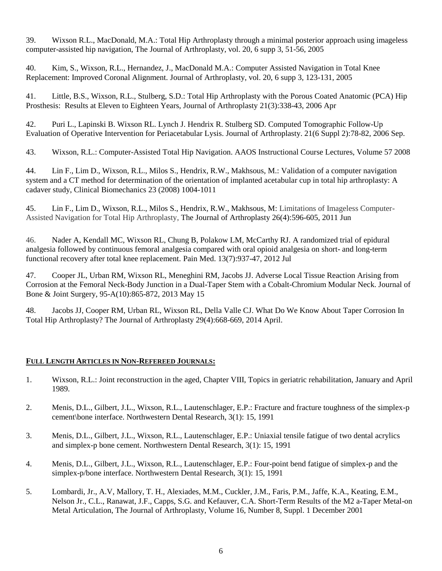39. Wixson R.L., MacDonald, M.A.: Total Hip Arthroplasty through a minimal posterior approach using imageless computer-assisted hip navigation, The Journal of Arthroplasty, vol. 20, 6 supp 3, 51-56, 2005

40. Kim, S., Wixson, R.L., Hernandez, J., MacDonald M.A.: Computer Assisted Navigation in Total Knee Replacement: Improved Coronal Alignment. Journal of Arthroplasty, vol. 20, 6 supp 3, 123-131, 2005

41. Little, B.S., Wixson, R.L., Stulberg, S.D.: Total Hip Arthroplasty with the Porous Coated Anatomic (PCA) Hip Prosthesis: Results at Eleven to Eighteen Years, Journal of Arthroplasty 21(3):338-43, 2006 Apr

42. Puri L., Lapinski B. Wixson RL. Lynch J. Hendrix R. Stulberg SD. Computed Tomographic Follow-Up Evaluation of Operative Intervention for Periacetabular Lysis. Journal of Arthroplasty. 21(6 Suppl 2):78-82, 2006 Sep.

43. Wixson, R.L.: Computer-Assisted Total Hip Navigation. AAOS Instructional Course Lectures, Volume 57 2008

44. Lin F., Lim D., Wixson, R.L., Milos S., Hendrix, R.W., Makhsous, M.: Validation of a computer navigation system and a CT method for determination of the orientation of implanted acetabular cup in total hip arthroplasty: A cadaver study, Clinical Biomechanics 23 (2008) 1004-1011

45. Lin F., Lim D., Wixson, R.L., Milos S., Hendrix, R.W., Makhsous, M: Limitations of Imageless Computer-Assisted Navigation for Total Hip Arthroplasty, The Journal of Arthroplasty 26(4):596-605, 2011 Jun

46. Nader A, Kendall MC, Wixson RL, Chung B, Polakow LM, McCarthy RJ. [A randomized trial of epidural](/pubmed/22680916)  [analgesia followed by continuous femoral analgesia compared with oral opioid analgesia on short-](/pubmed/22680916) and long-term [functional recovery after total knee replacement.](/pubmed/22680916) Pain Med. 13(7):937-47, 2012 Jul

47. Cooper JL, Urban RM, Wixson RL, Meneghini RM, Jacobs JJ. Adverse Local Tissue Reaction Arising from Corrosion at the Femoral Neck-Body Junction in a Dual-Taper Stem with a Cobalt-Chromium Modular Neck. Journal of Bone & Joint Surgery, 95-A(10):865-872, 2013 May 15

48. Jacobs JJ, Cooper RM, Urban RL, Wixson RL, Della Valle CJ. What Do We Know About Taper Corrosion In Total Hip Arthroplasty? The Journal of Arthroplasty 29(4):668-669, 2014 April.

### **FULL LENGTH ARTICLES IN NON-REFEREED JOURNALS:**

- 1. Wixson, R.L.: Joint reconstruction in the aged, Chapter VIII, Topics in geriatric rehabilitation, January and April 1989.
- 2. Menis, D.L., Gilbert, J.L., Wixson, R.L., Lautenschlager, E.P.: Fracture and fracture toughness of the simplex-p cement\bone interface. Northwestern Dental Research, 3(1): 15, 1991
- 3. Menis, D.L., Gilbert, J.L., Wixson, R.L., Lautenschlager, E.P.: Uniaxial tensile fatigue of two dental acrylics and simplex-p bone cement. Northwestern Dental Research, 3(1): 15, 1991
- 4. Menis, D.L., Gilbert, J.L., Wixson, R.L., Lautenschlager, E.P.: Four-point bend fatigue of simplex-p and the simplex-p/bone interface. Northwestern Dental Research, 3(1): 15, 1991
- 5. Lombardi, Jr., A.V, Mallory, T. H., Alexiades, M.M., Cuckler, J.M., Faris, P.M., Jaffe, K.A., Keating, E.M., Nelson Jr., C.L., Ranawat, J.F., Capps, S.G. and Kefauver, C.A. Short-Term Results of the M2 a-Taper Metal-on Metal Articulation, The Journal of Arthroplasty, Volume 16, Number 8, Suppl. 1 December 2001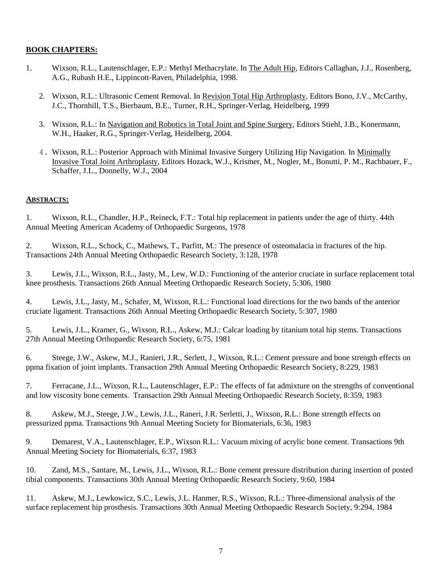# **BOOK CHAPTERS:**

- 1. Wixson, R.L., Lautenschlager, E.P.: Methyl Methacrylate. In The Adult Hip, Editors Callaghan, J.J., Rosenberg, A.G., Rubash H.E., Lippincott-Raven, Philadelphia, 1998.
	- 2. Wixson, R.L.: Ultrasonic Cement Removal. In Revision Total Hip Arthroplasty, Editors Bono, J.V., McCarthy, J.C., Thornhill, T.S., Bierbaum, B.E., Turner, R.H., Springer-Verlag, Heidelberg, 1999
	- 3. Wixson, R.L.: In Navigation and Robotics in Total Joint and Spine Surgery, Editors Stiehl, J.B., Konermann, W.H., Haaker, R.G., Springer-Verlag, Heidelberg, 2004.
	- 4. Wixson, R.L.: Posterior Approach with Minimal Invasive Surgery Utilizing Hip Navigation. In Minimally Invasive Total Joint Arthroplasty, Editors Hozack, W.J., Krismer, M., Nogler, M., Bonutti, P. M., Rachbauer, F., Schaffer, J.L., Donnelly, W.J., 2004

### **ABSTRACTS:**

1. Wixson, R.L., Chandler, H.P., Reineck, F.T.: Total hip replacement in patients under the age of thirty. 44th Annual Meeting American Academy of Orthopaedic Surgeons, 1978

2. Wixson, R.L., Schock, C., Mathews, T., Parfitt, M.: The presence of osteomalacia in fractures of the hip. Transactions 24th Annual Meeting Orthopaedic Research Society, 3:128, 1978

3. Lewis, J.L., Wixson, R.L., Jasty, M., Lew, W.D.: Functioning of the anterior cruciate in surface replacement total knee prosthesis. Transactions 26th Annual Meeting Orthopaedic Research Society, 5:306, 1980

4. Lewis, J.L., Jasty, M., Schafer, M, Wixson, R.L.: Functional load directions for the two bands of the anterior cruciate ligament. Transactions 26th Annual Meeting Orthopaedic Research Society, 5:307, 1980

5. Lewis, J.L., Kramer, G., Wixson, R.L., Askew, M.J.: Calcar loading by titanium total hip stems. Transactions 27th Annual Meeting Orthopaedic Research Society, 6:75, 1981

6. Steege, J.W., Askew, M.J., Ranieri, J.R., Serlett, J., Wixson, R.L.: Cement pressure and bone strength effects on ppma fixation of joint implants. Transaction 29th Annual Meeting Orthopaedic Research Society, 8:229, 1983

7. Ferracane, J.L., Wixson, R.L., Lautenschlager, E.P.: The effects of fat admixture on the strengths of conventional and low viscosity bone cements. Transaction 29th Annual Meeting Orthopaedic Research Society, 8:359, 1983

8. Askew, M.J., Steege, J.W., Lewis, J.L., Raneri, J.R. Serletti, J., Wixson, R.L.: Bone strength effects on pressurized ppma. Transactions 9th Annual Meeting Society for Biomaterials, 6:36, 1983

9. Demarest, V.A., Lautenschlager, E.P., Wixson R.L.: Vacuum mixing of acrylic bone cement. Transactions 9th Annual Meeting Society for Biomaterials, 6:37, 1983

10. Zand, M.S., Santare, M., Lewis, J.L., Wixson, R.L.: Bone cement pressure distribution during insertion of posted tibial components. Transactions 30th Annual Meeting Orthopaedic Research Society, 9:60, 1984

11. Askew, M.J., Lewkowicz, S.C., Lewis, J.L. Hanmer, R.S., Wixson, R.L.: Three-dimensional analysis of the surface replacement hip prosthesis. Transactions 30th Annual Meeting Orthopaedic Research Society, 9:294, 1984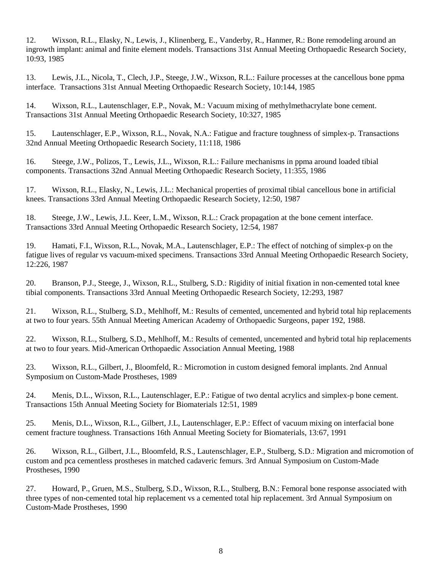12. Wixson, R.L., Elasky, N., Lewis, J., Klinenberg, E., Vanderby, R., Hanmer, R.: Bone remodeling around an ingrowth implant: animal and finite element models. Transactions 31st Annual Meeting Orthopaedic Research Society, 10:93, 1985

13. Lewis, J.L., Nicola, T., Clech, J.P., Steege, J.W., Wixson, R.L.: Failure processes at the cancellous bone ppma interface. Transactions 31st Annual Meeting Orthopaedic Research Society, 10:144, 1985

14. Wixson, R.L., Lautenschlager, E.P., Novak, M.: Vacuum mixing of methylmethacrylate bone cement. Transactions 31st Annual Meeting Orthopaedic Research Society, 10:327, 1985

15. Lautenschlager, E.P., Wixson, R.L., Novak, N.A.: Fatigue and fracture toughness of simplex-p. Transactions 32nd Annual Meeting Orthopaedic Research Society, 11:118, 1986

16. Steege, J.W., Polizos, T., Lewis, J.L., Wixson, R.L.: Failure mechanisms in ppma around loaded tibial components. Transactions 32nd Annual Meeting Orthopaedic Research Society, 11:355, 1986

17. Wixson, R.L., Elasky, N., Lewis, J.L.: Mechanical properties of proximal tibial cancellous bone in artificial knees. Transactions 33rd Annual Meeting Orthopaedic Research Society, 12:50, 1987

18. Steege, J.W., Lewis, J.L. Keer, L.M., Wixson, R.L.: Crack propagation at the bone cement interface. Transactions 33rd Annual Meeting Orthopaedic Research Society, 12:54, 1987

19. Hamati, F.I., Wixson, R.L., Novak, M.A., Lautenschlager, E.P.: The effect of notching of simplex-p on the fatigue lives of regular vs vacuum-mixed specimens. Transactions 33rd Annual Meeting Orthopaedic Research Society, 12:226, 1987

20. Branson, P.J., Steege, J., Wixson, R.L., Stulberg, S.D.: Rigidity of initial fixation in non-cemented total knee tibial components. Transactions 33rd Annual Meeting Orthopaedic Research Society, 12:293, 1987

21. Wixson, R.L., Stulberg, S.D., Mehlhoff, M.: Results of cemented, uncemented and hybrid total hip replacements at two to four years. 55th Annual Meeting American Academy of Orthopaedic Surgeons, paper 192, 1988.

22. Wixson, R.L., Stulberg, S.D., Mehlhoff, M.: Results of cemented, uncemented and hybrid total hip replacements at two to four years. Mid-American Orthopaedic Association Annual Meeting, 1988

23. Wixson, R.L., Gilbert, J., Bloomfeld, R.: Micromotion in custom designed femoral implants. 2nd Annual Symposium on Custom-Made Prostheses, 1989

24. Menis, D.L., Wixson, R.L., Lautenschlager, E.P.: Fatigue of two dental acrylics and simplex-p bone cement. Transactions 15th Annual Meeting Society for Biomaterials 12:51, 1989

25. Menis, D.L., Wixson, R.L., Gilbert, J.L, Lautenschlager, E.P.: Effect of vacuum mixing on interfacial bone cement fracture toughness. Transactions 16th Annual Meeting Society for Biomaterials, 13:67, 1991

26. Wixson, R.L., Gilbert, J.L., Bloomfeld, R.S., Lautenschlager, E.P., Stulberg, S.D.: Migration and micromotion of custom and pca cementless prostheses in matched cadaveric femurs. 3rd Annual Symposium on Custom-Made Prostheses, 1990

27. Howard, P., Gruen, M.S., Stulberg, S.D., Wixson, R.L., Stulberg, B.N.: Femoral bone response associated with three types of non-cemented total hip replacement vs a cemented total hip replacement. 3rd Annual Symposium on Custom-Made Prostheses, 1990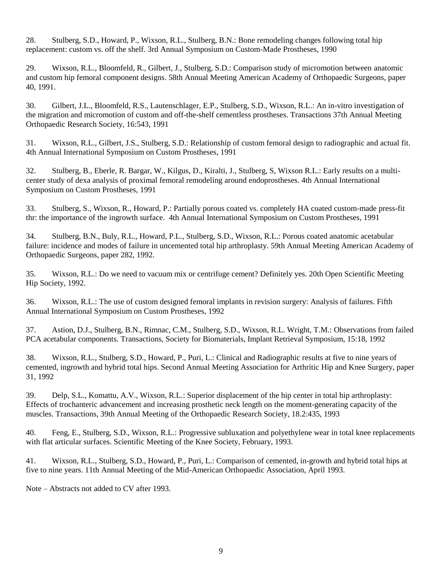28. Stulberg, S.D., Howard, P., Wixson, R.L., Stulberg, B.N.: Bone remodeling changes following total hip replacement: custom vs. off the shelf. 3rd Annual Symposium on Custom-Made Prostheses, 1990

29. Wixson, R.L., Bloomfeld, R., Gilbert, J., Stulberg, S.D.: Comparison study of micromotion between anatomic and custom hip femoral component designs. 58th Annual Meeting American Academy of Orthopaedic Surgeons, paper 40, 1991.

30. Gilbert, J.L., Bloomfeld, R.S., Lautenschlager, E.P., Stulberg, S.D., Wixson, R.L.: An in-vitro investigation of the migration and micromotion of custom and off-the-shelf cementless prostheses. Transactions 37th Annual Meeting Orthopaedic Research Society, 16:543, 1991

31. Wixson, R.L., Gilbert, J.S., Stulberg, S.D.: Relationship of custom femoral design to radiographic and actual fit. 4th Annual International Symposium on Custom Prostheses, 1991

32. Stulberg, B., Eberle, R. Bargar, W., Kilgus, D., Kiralti, J., Stulberg, S, Wixson R.L.: Early results on a multicenter study of dexa analysis of proximal femoral remodeling around endoprostheses. 4th Annual International Symposium on Custom Prostheses, 1991

33. Stulberg, S., Wixson, R., Howard, P.: Partially porous coated vs. completely HA coated custom-made press-fit thr: the importance of the ingrowth surface. 4th Annual International Symposium on Custom Prostheses, 1991

34. Stulberg, B.N., Buly, R.L., Howard, P.L., Stulberg, S.D., Wixson, R.L.: Porous coated anatomic acetabular failure: incidence and modes of failure in uncemented total hip arthroplasty. 59th Annual Meeting American Academy of Orthopaedic Surgeons, paper 282, 1992.

35. Wixson, R.L.: Do we need to vacuum mix or centrifuge cement? Definitely yes. 20th Open Scientific Meeting Hip Society, 1992.

36. Wixson, R.L.: The use of custom designed femoral implants in revision surgery: Analysis of failures. Fifth Annual International Symposium on Custom Prostheses, 1992

37. Astion, D.J., Stulberg, B.N., Rimnac, C.M., Stulberg, S.D., Wixson, R.L. Wright, T.M.: Observations from failed PCA acetabular components. Transactions, Society for Biomaterials, Implant Retrieval Symposium, 15:18, 1992

38. Wixson, R.L., Stulberg, S.D., Howard, P., Puri, L.: Clinical and Radiographic results at five to nine years of cemented, ingrowth and hybrid total hips. Second Annual Meeting Association for Arthritic Hip and Knee Surgery, paper 31, 1992

39. Delp, S.L., Komattu, A.V., Wixson, R.L.: Superior displacement of the hip center in total hip arthroplasty: Effects of trochanteric advancement and increasing prosthetic neck length on the moment-generating capacity of the muscles. Transactions, 39th Annual Meeting of the Orthopaedic Research Society, 18.2:435, 1993

40. Feng, E., Stulberg, S.D., Wixson, R.L.: Progressive subluxation and polyethylene wear in total knee replacements with flat articular surfaces. Scientific Meeting of the Knee Society, February, 1993.

41. Wixson, R.L., Stulberg, S.D., Howard, P., Puri, L.: Comparison of cemented, in-growth and hybrid total hips at five to nine years. 11th Annual Meeting of the Mid-American Orthopaedic Association, April 1993.

Note – Abstracts not added to CV after 1993.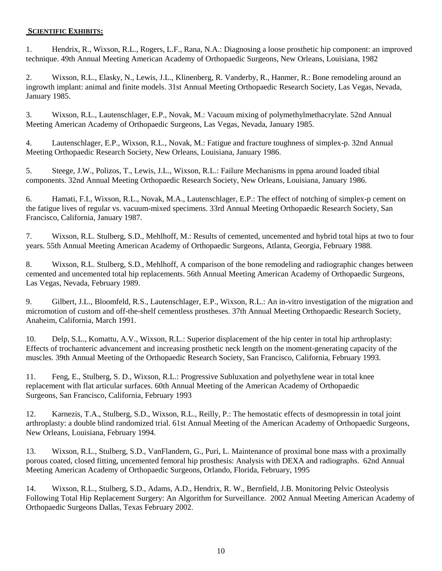### **SCIENTIFIC EXHIBITS:**

1. Hendrix, R., Wixson, R.L., Rogers, L.F., Rana, N.A.: Diagnosing a loose prosthetic hip component: an improved technique. 49th Annual Meeting American Academy of Orthopaedic Surgeons, New Orleans, Louisiana, 1982

2. Wixson, R.L., Elasky, N., Lewis, J.L., Klinenberg, R. Vanderby, R., Hanmer, R.: Bone remodeling around an ingrowth implant: animal and finite models. 31st Annual Meeting Orthopaedic Research Society, Las Vegas, Nevada, January 1985.

3. Wixson, R.L., Lautenschlager, E.P., Novak, M.: Vacuum mixing of polymethylmethacrylate. 52nd Annual Meeting American Academy of Orthopaedic Surgeons, Las Vegas, Nevada, January 1985.

4. Lautenschlager, E.P., Wixson, R.L., Novak, M.: Fatigue and fracture toughness of simplex-p. 32nd Annual Meeting Orthopaedic Research Society, New Orleans, Louisiana, January 1986.

5. Steege, J.W., Polizos, T., Lewis, J.L., Wixson, R.L.: Failure Mechanisms in ppma around loaded tibial components. 32nd Annual Meeting Orthopaedic Research Society, New Orleans, Louisiana, January 1986.

6. Hamati, F.I., Wixson, R.L., Novak, M.A., Lautenschlager, E.P.: The effect of notching of simplex-p cement on the fatigue lives of regular vs. vacuum-mixed specimens. 33rd Annual Meeting Orthopaedic Research Society, San Francisco, California, January 1987.

7. Wixson, R.L. Stulberg, S.D., Mehlhoff, M.: Results of cemented, uncemented and hybrid total hips at two to four years. 55th Annual Meeting American Academy of Orthopaedic Surgeons, Atlanta, Georgia, February 1988.

8. Wixson, R.L. Stulberg, S.D., Mehlhoff, A comparison of the bone remodeling and radiographic changes between cemented and uncemented total hip replacements. 56th Annual Meeting American Academy of Orthopaedic Surgeons, Las Vegas, Nevada, February 1989.

9. Gilbert, J.L., Bloomfeld, R.S., Lautenschlager, E.P., Wixson, R.L.: An in-vitro investigation of the migration and micromotion of custom and off-the-shelf cementless prostheses. 37th Annual Meeting Orthopaedic Research Society, Anaheim, California, March 1991.

10. Delp, S.L., Komattu, A.V., Wixson, R.L.: Superior displacement of the hip center in total hip arthroplasty: Effects of trochanteric advancement and increasing prosthetic neck length on the moment-generating capacity of the muscles. 39th Annual Meeting of the Orthopaedic Research Society, San Francisco, California, February 1993.

11. Feng, E., Stulberg, S. D., Wixson, R.L.: Progressive Subluxation and polyethylene wear in total knee replacement with flat articular surfaces. 60th Annual Meeting of the American Academy of Orthopaedic Surgeons, San Francisco, California, February 1993

12. Karnezis, T.A., Stulberg, S.D., Wixson, R.L., Reilly, P.: The hemostatic effects of desmopressin in total joint arthroplasty: a double blind randomized trial. 61st Annual Meeting of the American Academy of Orthopaedic Surgeons, New Orleans, Louisiana, February 1994.

13. Wixson, R.L., Stulberg, S.D., VanFlandern, G., Puri, L. Maintenance of proximal bone mass with a proximally porous coated, closed fitting, uncemented femoral hip prosthesis: Analysis with DEXA and radiographs. 62nd Annual Meeting American Academy of Orthopaedic Surgeons, Orlando, Florida, February, 1995

14. Wixson, R.L., Stulberg, S.D., Adams, A.D., Hendrix, R. W., Bernfield, J.B. Monitoring Pelvic Osteolysis Following Total Hip Replacement Surgery: An Algorithm for Surveillance. 2002 Annual Meeting American Academy of Orthopaedic Surgeons Dallas, Texas February 2002.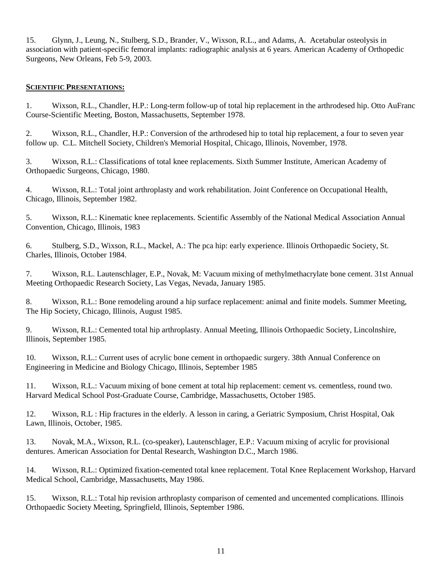15. Glynn, J., Leung, N., Stulberg, S.D., Brander, V., Wixson, R.L., and Adams, A. Acetabular osteolysis in association with patient-specific femoral implants: radiographic analysis at 6 years. American Academy of Orthopedic Surgeons, New Orleans, Feb 5-9, 2003.

### **SCIENTIFIC PRESENTATIONS:**

1. Wixson, R.L., Chandler, H.P.: Long-term follow-up of total hip replacement in the arthrodesed hip. Otto AuFranc Course-Scientific Meeting, Boston, Massachusetts, September 1978.

2. Wixson, R.L., Chandler, H.P.: Conversion of the arthrodesed hip to total hip replacement, a four to seven year follow up. C.L. Mitchell Society, Children's Memorial Hospital, Chicago, Illinois, November, 1978.

3. Wixson, R.L.: Classifications of total knee replacements. Sixth Summer Institute, American Academy of Orthopaedic Surgeons, Chicago, 1980.

4. Wixson, R.L.: Total joint arthroplasty and work rehabilitation. Joint Conference on Occupational Health, Chicago, Illinois, September 1982.

5. Wixson, R.L.: Kinematic knee replacements. Scientific Assembly of the National Medical Association Annual Convention, Chicago, Illinois, 1983

6. Stulberg, S.D., Wixson, R.L., Mackel, A.: The pca hip: early experience. Illinois Orthopaedic Society, St. Charles, Illinois, October 1984.

7. Wixson, R.L. Lautenschlager, E.P., Novak, M: Vacuum mixing of methylmethacrylate bone cement. 31st Annual Meeting Orthopaedic Research Society, Las Vegas, Nevada, January 1985.

8. Wixson, R.L.: Bone remodeling around a hip surface replacement: animal and finite models. Summer Meeting, The Hip Society, Chicago, Illinois, August 1985.

9. Wixson, R.L.: Cemented total hip arthroplasty. Annual Meeting, Illinois Orthopaedic Society, Lincolnshire, Illinois, September 1985.

10. Wixson, R.L.: Current uses of acrylic bone cement in orthopaedic surgery. 38th Annual Conference on Engineering in Medicine and Biology Chicago, Illinois, September 1985

11. Wixson, R.L.: Vacuum mixing of bone cement at total hip replacement: cement vs. cementless, round two. Harvard Medical School Post-Graduate Course, Cambridge, Massachusetts, October 1985.

12. Wixson, R.L : Hip fractures in the elderly. A lesson in caring, a Geriatric Symposium, Christ Hospital, Oak Lawn, Illinois, October, 1985.

13. Novak, M.A., Wixson, R.L. (co-speaker), Lautenschlager, E.P.: Vacuum mixing of acrylic for provisional dentures. American Association for Dental Research, Washington D.C., March 1986.

14. Wixson, R.L.: Optimized fixation-cemented total knee replacement. Total Knee Replacement Workshop, Harvard Medical School, Cambridge, Massachusetts, May 1986.

15. Wixson, R.L.: Total hip revision arthroplasty comparison of cemented and uncemented complications. Illinois Orthopaedic Society Meeting, Springfield, Illinois, September 1986.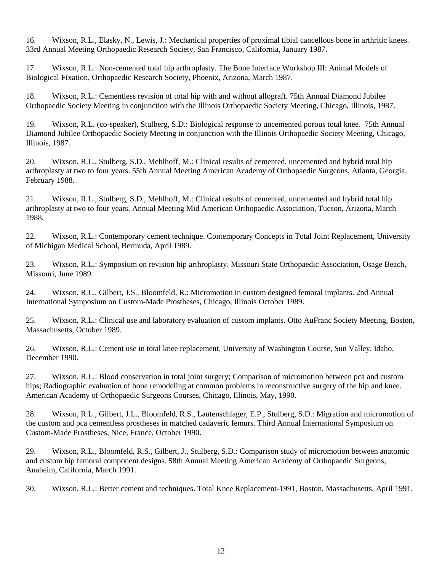16. Wixson, R.L., Elasky, N., Lewis, J.: Mechanical properties of proximal tibial cancellous bone in arthritic knees. 33rd Annual Meeting Orthopaedic Research Society, San Francisco, California, January 1987.

17. Wixson, R.L.: Non-cemented total hip arthroplasty. The Bone Interface Workshop III: Animal Models of Biological Fixation, Orthopaedic Research Society, Phoenix, Arizona, March 1987.

18. Wixson, R.L.: Cementless revision of total hip with and without allograft. 75th Annual Diamond Jubilee Orthopaedic Society Meeting in conjunction with the Illinois Orthopaedic Society Meeting, Chicago, Illinois, 1987.

19. Wixson, R.L. (co-speaker), Stulberg, S.D.: Biological response to uncemented porous total knee. 75th Annual Diamond Jubilee Orthopaedic Society Meeting in conjunction with the Illinois Orthopaedic Society Meeting, Chicago, Illinois, 1987.

20. Wixson, R.L., Stulberg, S.D., Mehlhoff, M.: Clinical results of cemented, uncemented and hybrid total hip arthroplasty at two to four years. 55th Annual Meeting American Academy of Orthopaedic Surgeons, Atlanta, Georgia, February 1988.

21. Wixson, R.L., Stulberg, S.D., Mehlhoff, M.: Clinical results of cemented, uncemented and hybrid total hip arthroplasty at two to four years. Annual Meeting Mid American Orthopaedic Association, Tucson, Arizona, March 1988.

22. Wixson, R.L.: Contemporary cement technique. Contemporary Concepts in Total Joint Replacement, University of Michigan Medical School, Bermuda, April 1989.

23. Wixson, R.L.: Symposium on revision hip arthroplasty. Missouri State Orthopaedic Association, Osage Beach, Missouri, June 1989.

24. Wixson, R.L., Gilbert, J.S., Bloomfeld, R.: Micromotion in custom designed femoral implants. 2nd Annual International Symposium on Custom-Made Prostheses, Chicago, Illinois October 1989.

25. Wixson, R.L.: Clinical use and laboratory evaluation of custom implants. Otto AuFranc Society Meeting, Boston, Massachusetts, October 1989.

26. Wixson, R.L.: Cement use in total knee replacement. University of Washington Course, Sun Valley, Idaho, December 1990.

27. Wixson, R.L.: Blood conservation in total joint surgery; Comparison of micromotion between pca and custom hips; Radiographic evaluation of bone remodeling at common problems in reconstructive surgery of the hip and knee. American Academy of Orthopaedic Surgeons Courses, Chicago, Illinois, May, 1990.

28. Wixson, R.L., Gilbert, J.L., Bloomfeld, R.S., Lautenschlager, E.P., Stulberg, S.D.: Migration and micromotion of the custom and pca cementless prostheses in matched cadaveric femurs. Third Annual International Symposium on Custom-Made Prostheses, Nice, France, October 1990.

29. Wixson, R.L., Bloomfeld, R.S., Gilbert, J., Stulberg, S.D.: Comparison study of micromotion between anatomic and custom hip femoral component designs. 58th Annual Meeting American Academy of Orthopaedic Surgeons, Anaheim, California, March 1991.

30. Wixson, R.L.: Better cement and techniques. Total Knee Replacement-1991, Boston, Massachusetts, April 1991.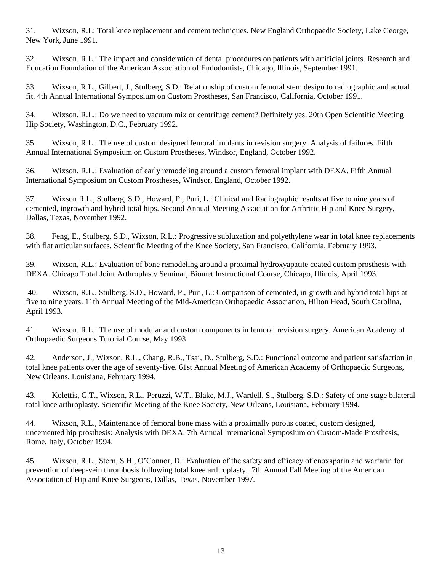31. Wixson, R.L: Total knee replacement and cement techniques. New England Orthopaedic Society, Lake George, New York, June 1991.

32. Wixson, R.L.: The impact and consideration of dental procedures on patients with artificial joints. Research and Education Foundation of the American Association of Endodontists, Chicago, Illinois, September 1991.

33. Wixson, R.L., Gilbert, J., Stulberg, S.D.: Relationship of custom femoral stem design to radiographic and actual fit. 4th Annual International Symposium on Custom Prostheses, San Francisco, California, October 1991.

34. Wixson, R.L.: Do we need to vacuum mix or centrifuge cement? Definitely yes. 20th Open Scientific Meeting Hip Society, Washington, D.C., February 1992.

35. Wixson, R.L.: The use of custom designed femoral implants in revision surgery: Analysis of failures. Fifth Annual International Symposium on Custom Prostheses, Windsor, England, October 1992.

36. Wixson, R.L.: Evaluation of early remodeling around a custom femoral implant with DEXA. Fifth Annual International Symposium on Custom Prostheses, Windsor, England, October 1992.

37. Wixson R.L., Stulberg, S.D., Howard, P., Puri, L.: Clinical and Radiographic results at five to nine years of cemented, ingrowth and hybrid total hips. Second Annual Meeting Association for Arthritic Hip and Knee Surgery, Dallas, Texas, November 1992.

38. Feng, E., Stulberg, S.D., Wixson, R.L.: Progressive subluxation and polyethylene wear in total knee replacements with flat articular surfaces. Scientific Meeting of the Knee Society, San Francisco, California, February 1993.

39. Wixson, R.L.: Evaluation of bone remodeling around a proximal hydroxyapatite coated custom prosthesis with DEXA. Chicago Total Joint Arthroplasty Seminar, Biomet Instructional Course, Chicago, Illinois, April 1993.

40. Wixson, R.L., Stulberg, S.D., Howard, P., Puri, L.: Comparison of cemented, in-growth and hybrid total hips at five to nine years. 11th Annual Meeting of the Mid-American Orthopaedic Association, Hilton Head, South Carolina, April 1993.

41. Wixson, R.L.: The use of modular and custom components in femoral revision surgery. American Academy of Orthopaedic Surgeons Tutorial Course, May 1993

42. Anderson, J., Wixson, R.L., Chang, R.B., Tsai, D., Stulberg, S.D.: Functional outcome and patient satisfaction in total knee patients over the age of seventy-five. 61st Annual Meeting of American Academy of Orthopaedic Surgeons, New Orleans, Louisiana, February 1994.

43. Kolettis, G.T., Wixson, R.L., Peruzzi, W.T., Blake, M.J., Wardell, S., Stulberg, S.D.: Safety of one-stage bilateral total knee arthroplasty. Scientific Meeting of the Knee Society, New Orleans, Louisiana, February 1994.

44. Wixson, R.L., Maintenance of femoral bone mass with a proximally porous coated, custom designed, uncemented hip prosthesis: Analysis with DEXA. 7th Annual International Symposium on Custom-Made Prosthesis, Rome, Italy, October 1994.

45. Wixson, R.L., Stern, S.H., O'Connor, D.: Evaluation of the safety and efficacy of enoxaparin and warfarin for prevention of deep-vein thrombosis following total knee arthroplasty. 7th Annual Fall Meeting of the American Association of Hip and Knee Surgeons, Dallas, Texas, November 1997.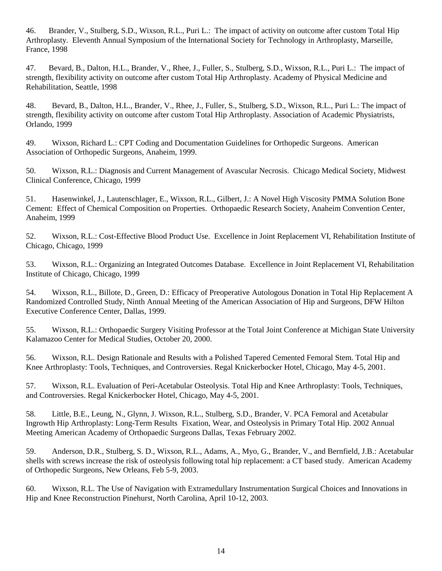46. Brander, V., Stulberg, S.D., Wixson, R.L., Puri L.: The impact of activity on outcome after custom Total Hip Arthroplasty. Eleventh Annual Symposium of the International Society for Technology in Arthroplasty, Marseille, France, 1998

47. Bevard, B., Dalton, H.L., Brander, V., Rhee, J., Fuller, S., Stulberg, S.D., Wixson, R.L., Puri L.: The impact of strength, flexibility activity on outcome after custom Total Hip Arthroplasty. Academy of Physical Medicine and Rehabilitation, Seattle, 1998

48. Bevard, B., Dalton, H.L., Brander, V., Rhee, J., Fuller, S., Stulberg, S.D., Wixson, R.L., Puri L.: The impact of strength, flexibility activity on outcome after custom Total Hip Arthroplasty. Association of Academic Physiatrists, Orlando, 1999

49. Wixson, Richard L.: CPT Coding and Documentation Guidelines for Orthopedic Surgeons. American Association of Orthopedic Surgeons, Anaheim, 1999.

50. Wixson, R.L.: Diagnosis and Current Management of Avascular Necrosis. Chicago Medical Society, Midwest Clinical Conference, Chicago, 1999

51. Hasenwinkel, J., Lautenschlager, E., Wixson, R.L., Gilbert, J.: A Novel High Viscosity PMMA Solution Bone Cement: Effect of Chemical Composition on Properties. Orthopaedic Research Society, Anaheim Convention Center, Anaheim, 1999

52. Wixson, R.L.: Cost-Effective Blood Product Use. Excellence in Joint Replacement VI, Rehabilitation Institute of Chicago, Chicago, 1999

53. Wixson, R.L.: Organizing an Integrated Outcomes Database. Excellence in Joint Replacement VI, Rehabilitation Institute of Chicago, Chicago, 1999

54. Wixson, R.L., Billote, D., Green, D.: Efficacy of Preoperative Autologous Donation in Total Hip Replacement A Randomized Controlled Study, Ninth Annual Meeting of the American Association of Hip and Surgeons, DFW Hilton Executive Conference Center, Dallas, 1999.

55. Wixson, R.L.: Orthopaedic Surgery Visiting Professor at the Total Joint Conference at Michigan State University Kalamazoo Center for Medical Studies, October 20, 2000.

56. Wixson, R.L. Design Rationale and Results with a Polished Tapered Cemented Femoral Stem. Total Hip and Knee Arthroplasty: Tools, Techniques, and Controversies. Regal Knickerbocker Hotel, Chicago, May 4-5, 2001.

57. Wixson, R.L. Evaluation of Peri-Acetabular Osteolysis. Total Hip and Knee Arthroplasty: Tools, Techniques, and Controversies. Regal Knickerbocker Hotel, Chicago, May 4-5, 2001.

58. Little, B.E., Leung, N., Glynn, J. Wixson, R.L., Stulberg, S.D., Brander, V. PCA Femoral and Acetabular Ingrowth Hip Arthroplasty: Long-Term Results Fixation, Wear, and Osteolysis in Primary Total Hip. 2002 Annual Meeting American Academy of Orthopaedic Surgeons Dallas, Texas February 2002.

59. Anderson, D.R., Stulberg, S. D., Wixson, R.L., Adams, A., Myo, G., Brander, V., and Bernfield, J.B.: Acetabular shells with screws increase the risk of osteolysis following total hip replacement: a CT based study. American Academy of Orthopedic Surgeons, New Orleans, Feb 5-9, 2003.

60. Wixson, R.L. The Use of Navigation with Extramedullary Instrumentation Surgical Choices and Innovations in Hip and Knee Reconstruction Pinehurst, North Carolina, April 10-12, 2003.